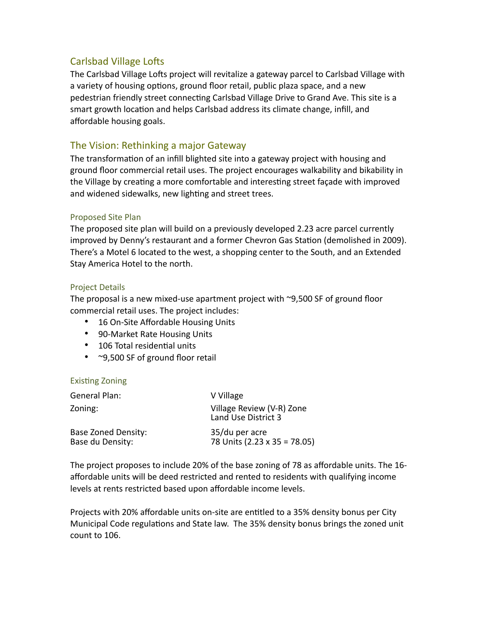# Carlsbad Village Lofts

The Carlsbad Village Lofts project will revitalize a gateway parcel to Carlsbad Village with a variety of housing options, ground floor retail, public plaza space, and a new pedestrian friendly street connecting Carlsbad Village Drive to Grand Ave. This site is a smart growth location and helps Carlsbad address its climate change, infill, and affordable housing goals.

# The Vision: Rethinking a major Gateway

The transformation of an infill blighted site into a gateway project with housing and ground floor commercial retail uses. The project encourages walkability and bikability in the Village by creating a more comfortable and interesting street façade with improved and widened sidewalks, new lighting and street trees.

## Proposed Site Plan

The proposed site plan will build on a previously developed 2.23 acre parcel currently improved by Denny's restaurant and a former Chevron Gas Station (demolished in 2009). There's a Motel 6 located to the west, a shopping center to the South, and an Extended Stay America Hotel to the north.

## Project Details

The proposal is a new mixed-use apartment project with ~9,500 SF of ground floor commercial retail uses. The project includes:

- 16 On-Site Affordable Housing Units
- 90-Market Rate Housing Units
- 106 Total residential units
- ~9,500 SF of ground floor retail

#### **Existing Zoning**

| General Plan:                                  | V Village                                        |
|------------------------------------------------|--------------------------------------------------|
| Zoning:                                        | Village Review (V-R) Zone<br>Land Use District 3 |
| <b>Base Zoned Density:</b><br>Base du Density: | 35/du per acre<br>78 Units (2.23 x 35 = 78.05)   |

The project proposes to include 20% of the base zoning of 78 as affordable units. The 16 affordable units will be deed restricted and rented to residents with qualifying income levels at rents restricted based upon affordable income levels.

Projects with 20% affordable units on-site are entitled to a 35% density bonus per City Municipal Code regulations and State law. The 35% density bonus brings the zoned unit count to 106.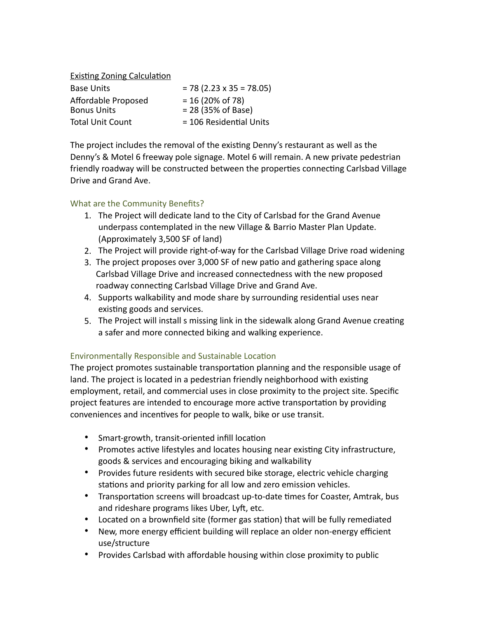**Existing Zoning Calculation** 

| <b>Base Units</b>                         | $= 78 (2.23 \times 35 = 78.05)$                               |
|-------------------------------------------|---------------------------------------------------------------|
| Affordable Proposed<br><b>Bonus Units</b> | $= 16 (20\% \text{ of } 78)$<br>$= 28 (35\% \text{ of Base})$ |
| <b>Total Unit Count</b>                   | = 106 Residential Units                                       |

The project includes the removal of the existing Denny's restaurant as well as the Denny's & Motel 6 freeway pole signage. Motel 6 will remain. A new private pedestrian friendly roadway will be constructed between the properties connecting Carlsbad Village Drive and Grand Ave.

## What are the Community Benefits?

- 1. The Project will dedicate land to the City of Carlsbad for the Grand Avenue underpass contemplated in the new Village & Barrio Master Plan Update. (Approximately 3,500 SF of land)
- 2. The Project will provide right-of-way for the Carlsbad Village Drive road widening
- 3. The project proposes over 3,000 SF of new patio and gathering space along Carlsbad Village Drive and increased connectedness with the new proposed roadway connecting Carlsbad Village Drive and Grand Ave.
- 4. Supports walkability and mode share by surrounding residential uses near existing goods and services.
- 5. The Project will install s missing link in the sidewalk along Grand Avenue creating a safer and more connected biking and walking experience.

## Environmentally Responsible and Sustainable Location

The project promotes sustainable transportation planning and the responsible usage of land. The project is located in a pedestrian friendly neighborhood with existing employment, retail, and commercial uses in close proximity to the project site. Specific project features are intended to encourage more active transportation by providing conveniences and incentives for people to walk, bike or use transit.

- Smart-growth, transit-oriented infill location
- Promotes active lifestyles and locates housing near existing City infrastructure, goods & services and encouraging biking and walkability
- Provides future residents with secured bike storage, electric vehicle charging stations and priority parking for all low and zero emission vehicles.
- Transportation screens will broadcast up-to-date times for Coaster, Amtrak, bus and rideshare programs likes Uber, Lyft, etc.
- Located on a brownfield site (former gas station) that will be fully remediated
- New, more energy efficient building will replace an older non-energy efficient use/structure
- Provides Carlsbad with affordable housing within close proximity to public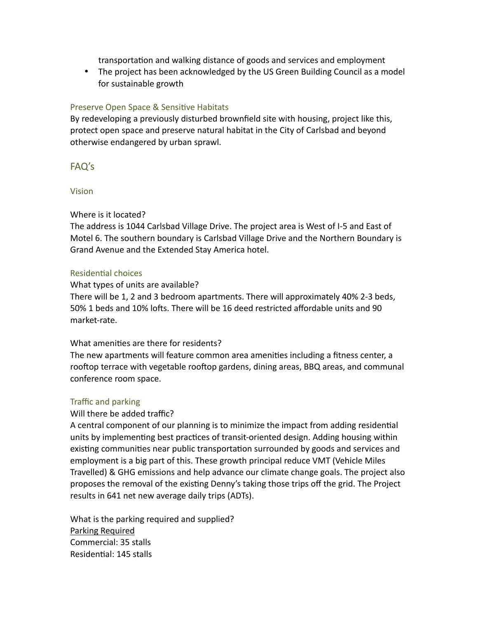transportation and walking distance of goods and services and employment

• The project has been acknowledged by the US Green Building Council as a model for sustainable growth

## Preserve Open Space & Sensitive Habitats

By redeveloping a previously disturbed brownfield site with housing, project like this, protect open space and preserve natural habitat in the City of Carlsbad and beyond otherwise endangered by urban sprawl.

## FAQ's

### Vision

## Where is it located?

The address is 1044 Carlsbad Village Drive. The project area is West of I-5 and East of Motel 6. The southern boundary is Carlsbad Village Drive and the Northern Boundary is Grand Avenue and the Extended Stay America hotel.

### Residential choices

### What types of units are available?

There will be 1, 2 and 3 bedroom apartments. There will approximately 40% 2-3 beds, 50% 1 beds and 10% lofts. There will be 16 deed restricted affordable units and 90 market-rate.

## What amenities are there for residents?

The new apartments will feature common area amenities including a fitness center, a rooftop terrace with vegetable rooftop gardens, dining areas, BBQ areas, and communal conference room space.

#### Traffic and parking

## Will there be added traffic?

A central component of our planning is to minimize the impact from adding residential units by implementing best practices of transit-oriented design. Adding housing within existing communities near public transportation surrounded by goods and services and employment is a big part of this. These growth principal reduce VMT (Vehicle Miles Travelled) & GHG emissions and help advance our climate change goals. The project also proposes the removal of the existing Denny's taking those trips off the grid. The Project results in 641 net new average daily trips (ADTs).

What is the parking required and supplied? Parking Required Commercial: 35 stalls Residential: 145 stalls